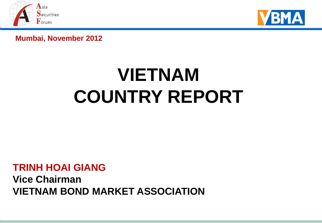



### **Mumbai, November 2012**

# **VIETNAM COUNTRY REPORT**

## **TRINH HOAI GIANG**

**Vice Chairman VIETNAM BOND MARKET ASSOCIATION**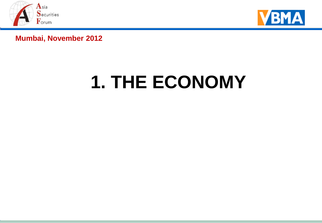



### **Mumbai, November 2012**

# **1. THE ECONOMY**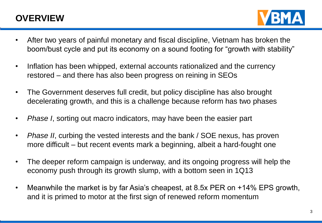## **OVERVIEW**

- After two years of painful monetary and fiscal discipline, Vietnam has broken the boom/bust cycle and put its economy on a sound footing for "growth with stability"
- Inflation has been whipped, external accounts rationalized and the currency restored – and there has also been progress on reining in SEOs
- The Government deserves full credit, but policy discipline has also brought decelerating growth, and this is a challenge because reform has two phases
- *Phase I*, sorting out macro indicators, may have been the easier part
- *Phase II*, curbing the vested interests and the bank / SOE nexus, has proven more difficult – but recent events mark a beginning, albeit a hard-fought one
- The deeper reform campaign is underway, and its ongoing progress will help the economy push through its growth slump, with a bottom seen in 1Q13
- Meanwhile the market is by far Asia's cheapest, at 8.5x PER on +14% EPS growth, and it is primed to motor at the first sign of renewed reform momentum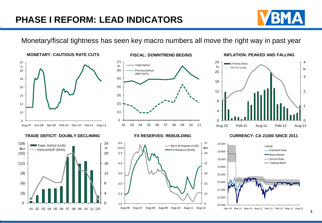

Monetary/fiscal tightness has seen key macro numbers all move the right way in past year



#### 4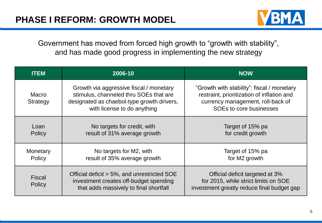

Government has moved from forced high growth to "growth with stability", and has made good progress in implementing the new strategy

| <b>ITEM</b>                    | 2006-10                                                                                                                                                        | <b>NOW</b>                                                                                                                                               |  |  |
|--------------------------------|----------------------------------------------------------------------------------------------------------------------------------------------------------------|----------------------------------------------------------------------------------------------------------------------------------------------------------|--|--|
| Macro<br>Strategy              | Growth via aggressive fiscal / monetary<br>stimulus, channeled thru SOEs that are<br>designated as chaebol-type growth drivers,<br>with license to do anything | "Growth with stability": fiscal / monetary<br>restraint, prioritization of inflation and<br>currency management, roll-back of<br>SOEs to core businesses |  |  |
| Loan<br>Policy                 | No targets for credit, with<br>result of 31% average growth                                                                                                    | Target of 15% pa<br>for credit growth                                                                                                                    |  |  |
| Monetary<br>Policy             | No targets for M2, with<br>result of 35% average growth                                                                                                        | Target of 15% pa<br>for M2 growth                                                                                                                        |  |  |
| <b>Fiscal</b><br><b>Policy</b> | Official deficit > 5%, and unrestricted SOE<br>investment creates off-budget spending<br>that adds massively to final shortfall                                | Official deficit targeted at 3%<br>for 2015, while strict limits on SOE<br>investment greatly reduce final budget gap                                    |  |  |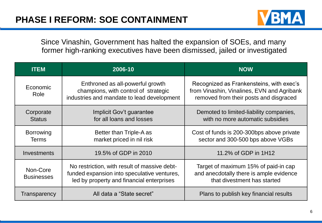

 former high-ranking executives have been dismissed, jailed or investigated Since Vinashin, Government has halted the expansion of SOEs, and many

| <b>ITEM</b>                      | 2006-10                                                                                                                                  | <b>NOW</b>                                                                                                                       |  |  |
|----------------------------------|------------------------------------------------------------------------------------------------------------------------------------------|----------------------------------------------------------------------------------------------------------------------------------|--|--|
| Economic<br>Role                 | Enthroned as all-powerful growth<br>champions, with control of strategic<br>industries and mandate to lead development                   | Recognized as Frankensteins, with exec's<br>from Vinashin, Vinalines, EVN and Agribank<br>removed from their posts and disgraced |  |  |
| Corporate<br><b>Status</b>       | Implicit Gov't guarantee<br>for all loans and losses                                                                                     | Demoted to limited-liability companies,<br>with no more automatic subsidies                                                      |  |  |
| <b>Borrowing</b><br><b>Terms</b> | Better than Triple-A as<br>market priced in nil risk                                                                                     | Cost of funds is 200-300bps above private<br>sector and 300-500 bps above VGBs                                                   |  |  |
| Investments                      | 19.5% of GDP in 2010                                                                                                                     | 11.2% of GDP in 1H12                                                                                                             |  |  |
| Non-Core<br><b>Businesses</b>    | No restriction, with result of massive debt-<br>funded expansion into speculative ventures,<br>led by property and financial enterprises | Target of maximum 15% of paid-in cap<br>and anecdotally there is ample evidence<br>that divestment has started                   |  |  |
| Transparency                     | All data a "State secret"                                                                                                                | Plans to publish key financial results                                                                                           |  |  |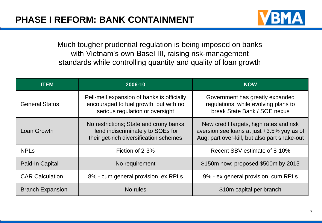

Much tougher prudential regulation is being imposed on banks with Vietnam's own Basel III, raising risk-management standards while controlling quantity and quality of loan growth

| <b>ITEM</b>             | 2006-10                                                                                                                 | <b>NOW</b>                                                                                                                            |  |  |
|-------------------------|-------------------------------------------------------------------------------------------------------------------------|---------------------------------------------------------------------------------------------------------------------------------------|--|--|
| <b>General Status</b>   | Pell-mell expansion of banks is officially<br>encouraged to fuel growth, but with no<br>serious regulation or oversight | Government has greatly expanded<br>regulations, while evolving plans to<br>break State Bank / SOE nexus                               |  |  |
| Loan Growth             | No restrictions; State and crony banks<br>lend indiscriminately to SOEs for<br>their get-rich diversification schemes   | New credit targets, high rates and risk<br>aversion see loans at just +3.5% yoy as of<br>Aug: part over-kill, but also part shake-out |  |  |
| <b>NPL<sub>s</sub></b>  | Fiction of 2-3%                                                                                                         | Recent SBV estimate of 8-10%                                                                                                          |  |  |
| Paid-In Capital         | No requirement                                                                                                          | \$150m now; proposed \$500m by 2015                                                                                                   |  |  |
| <b>CAR Calculation</b>  | 8% - cum general provision, ex RPLs                                                                                     | 9% - ex general provision, cum RPLs                                                                                                   |  |  |
| <b>Branch Expansion</b> | No rules                                                                                                                | \$10m capital per branch                                                                                                              |  |  |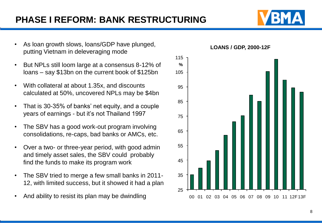## **PHASE I REFORM: BANK RESTRUCTURING**

- **LOANS / GDP, 2000-12F** As loan growth slows, loans/GDP have plunged, putting Vietnam in deleveraging mode
- But NPLs still loom large at a consensus 8-12% of loans – say \$13bn on the current book of \$125bn
- With collateral at about 1.35x, and discounts calculated at 50%, uncovered NPLs may be \$4bn
- That is 30-35% of banks' net equity, and a couple years of earnings - but it's not Thailand 1997
- The SBV has a good work-out program involving consolidations, re-caps, bad banks or AMCs, etc.
- Over a two- or three-year period, with good admin and timely asset sales, the SBV could probably find the funds to make its program work
- The SBV tried to merge a few small banks in 2011- 12, with limited success, but it showed it had a plan
- And ability to resist its plan may be dwindling



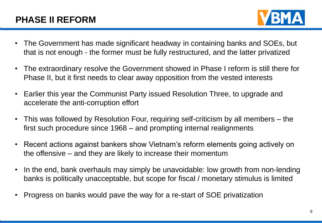

- The Government has made significant headway in containing banks and SOEs, but that is not enough - the former must be fully restructured, and the latter privatized
- The extraordinary resolve the Government showed in Phase I reform is still there for Phase II, but it first needs to clear away opposition from the vested interests
- Earlier this year the Communist Party issued Resolution Three, to upgrade and accelerate the anti-corruption effort
- This was followed by Resolution Four, requiring self-criticism by all members the first such procedure since 1968 – and prompting internal realignments
- Recent actions against bankers show Vietnam's reform elements going actively on the offensive – and they are likely to increase their momentum
- In the end, bank overhauls may simply be unavoidable: low growth from non-lending banks is politically unacceptable, but scope for fiscal / monetary stimulus is limited
- Progress on banks would pave the way for a re-start of SOE privatization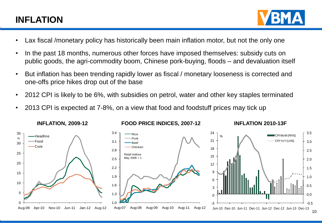

- Lax fiscal /monetary policy has historically been main inflation motor, but not the only one
- In the past 18 months, numerous other forces have imposed themselves: subsidy cuts on public goods, the agri-commodity boom, Chinese pork-buying, floods – and devaluation itself
- But inflation has been trending rapidly lower as fiscal / monetary looseness is corrected and one-offs price hikes drop out of the base
- 2012 CPI is likely to be 6%, with subsidies on petrol, water and other key staples terminated
- 2013 CPI is expected at 7-8%, on a view that food and foodstuff prices may tick up

#### **INFLATION, 2009-12 FOOD PRICE INDICES, 2007-12 INFLATION 2010-13F**

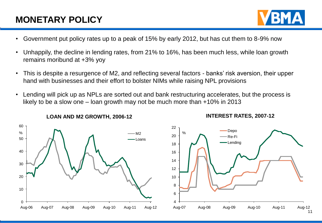## **MONETARY POLICY**

**LOAN AND M2 GROWTH, 2006-12**

- Government put policy rates up to a peak of 15% by early 2012, but has cut them to 8-9% now
- Unhappily, the decline in lending rates, from 21% to 16%, has been much less, while loan growth remains moribund at +3% yoy
- This is despite a resurgence of M2, and reflecting several factors banks' risk aversion, their upper hand with businesses and their effort to bolster NIMs while raising NPL provisions
- Lending will pick up as NPLs are sorted out and bank restructuring accelerates, but the process is likely to be a slow one – loan growth may not be much more than +10% in 2013



#### **INTEREST RATES, 2007-12**

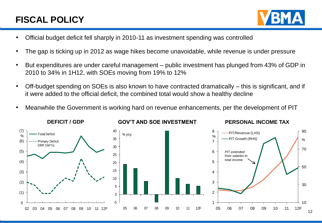## **FISCAL POLICY**



- Official budget deficit fell sharply in 2010-11 as investment spending was controlled
- The gap is ticking up in 2012 as wage hikes become unavoidable, while revenue is under pressure
- But expenditures are under careful management public investment has plunged from 43% of GDP in 2010 to 34% in 1H12, with SOEs moving from 19% to 12%
- Off-budget spending on SOEs is also known to have contracted dramatically this is significant, and if it were added to the official deficit, the combined total would show a healthy decline
- Meanwhile the Government is working hard on revenue enhancements, per the development of PIT

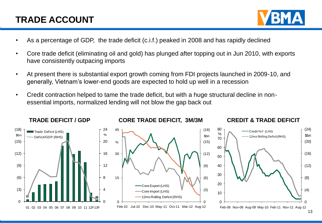## **TRADE ACCOUNT**



- As a percentage of GDP, the trade deficit (c.i.f.) peaked in 2008 and has rapidly declined
- Core trade deficit (eliminating oil and gold) has plunged after topping out in Jun 2010, with exports have consistently outpacing imports
- At present there is substantial export growth coming from FDI projects launched in 2009-10, and generally, Vietnam's lower-end goods are expected to hold up well in a recession
- Credit contraction helped to tame the trade deficit, but with a huge structural decline in nonessential imports, normalized lending will not blow the gap back out

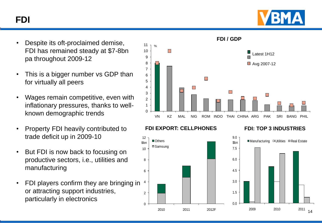**FDI**



- Despite its oft-proclaimed demise, FDI has remained steady at \$7-8bn pa throughout 2009-12
- This is a bigger number vs GDP than for virtually all peers
- Wages remain competitive, even with inflationary pressures, thanks to wellknown demographic trends
- Property FDI heavily contributed to trade deficit up in 2009-10
- But FDI is now back to focusing on productive sectors, i.e., utilities and manufacturing
- FDI players confirm they are bringing in or attracting support industries, particularly in electronics



#### **FDI EXPORT: CELLPHONES**

#### **FDI: TOP 3 INDUSTRIES**

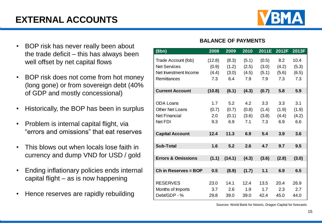

- BOP risk has never really been about the trade deficit – this has always been well offset by net capital flows
- BOP risk does not come from hot money (long gone) or from sovereign debt (40% of GDP and mostly concessional)
- Historically, the BOP has been in surplus
- Problem is internal capital flight, via "errors and omissions" that eat reserves
- This blows out when locals lose faith in currency and dump VND for USD / gold
- Ending inflationary policies ends internal capital flight – as is now happening
- Hence reserves are rapidly rebuilding

#### **BALANCE OF PAYMENTS**

| 2008   | 2009                                           | 2010                                   | 2011E                                  | 2012F                                | 2013F                       |
|--------|------------------------------------------------|----------------------------------------|----------------------------------------|--------------------------------------|-----------------------------|
|        |                                                |                                        |                                        | 8.2                                  | 10.4                        |
|        |                                                |                                        |                                        |                                      | (5.3)                       |
| (4.4)  | (3.0)                                          | (4.5)                                  | (5.1)                                  | (5.6)                                | (6.5)                       |
| 7.3    | 6.4                                            | 7.9                                    | 7.9                                    | 7.3                                  | 7.3                         |
| (10.8) | (6.1)                                          | (4.3)                                  | (0.7)                                  | 5.8                                  | 5.9                         |
|        |                                                |                                        |                                        |                                      |                             |
| 1.7    | 5.2                                            | 4.2                                    | 3.3 <sub>2</sub>                       | 3.3 <sub>2</sub>                     | 3.1                         |
| (0.7)  | (0.7)                                          | (0.8)                                  | (1.4)                                  | (1.9)                                | (1.9)                       |
| 2.0    | (0.1)                                          | (3.6)                                  | (3.8)                                  | (4.4)                                | (4.2)                       |
| 9.3    | 6.9                                            | 7.1                                    | 7.3                                    | 6.9                                  | 6.6                         |
| 12.4   | 11.3                                           | 6.9                                    | 5.4                                    | 3.9                                  | 3.6                         |
| 1.6    | 5.2                                            | 2.6                                    | 4.7                                    | 9.7                                  | 9.5                         |
|        |                                                |                                        |                                        |                                      |                             |
|        | (14.1)                                         | (4.3)                                  | (3.6)                                  | (2.8)                                | (3.0)                       |
|        |                                                |                                        |                                        |                                      |                             |
|        |                                                |                                        |                                        |                                      | 6.5                         |
|        |                                                |                                        |                                        |                                      | 26.9                        |
|        |                                                |                                        |                                        |                                      | 2.7                         |
| 29.8   | 39.0                                           | 39.0                                   | 42.4                                   | 45.0                                 | 44.0                        |
|        | (12.8)<br>(0.9)<br>(1.1)<br>0.5<br>23.0<br>3.7 | (8.3)<br>(1.2)<br>(8.9)<br>14.1<br>2.6 | (5.1)<br>(2.5)<br>(1.7)<br>12.4<br>1.9 | (0.5)<br>(3.0)<br>1.1<br>13.5<br>1.7 | (4.2)<br>6.9<br>20.4<br>2.3 |

Sources: World Bank for historic, Dragon Capital for forecasts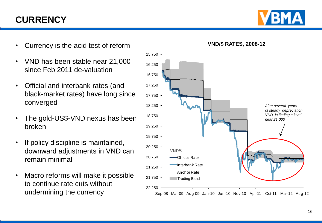## **CURRENCY**



- Currency is the acid test of reform
- VND has been stable near 21,000 since Feb 2011 de-valuation
- Official and interbank rates (and black-market rates) have long since converged
- The gold-US\$-VND nexus has been broken
- If policy discipline is maintained, downward adjustments in VND can remain minimal
- Macro reforms will make it possible to continue rate cuts without undermining the currency



**VND/\$ RATES, 2008-12**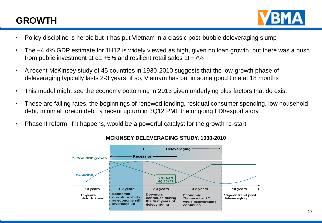

- Policy discipline is heroic but it has put Vietnam in a classic post-bubble deleveraging slump
- The +4.4% GDP estimate for 1H12 is widely viewed as high, given no loan growth, but there was a push from public investment at ca +5% and resilient retail sales at +7%
- A recent McKinsey study of 45 countries in 1930-2010 suggests that the low-growth phase of deleveraging typically lasts 2-3 years; if so, Vietnam has put in some good time at 18 months
- This model might see the economy bottoming in 2013 given underlying plus factors that do exist
- These are falling rates, the beginnings of renewed lending, residual consumer spending, low household debt, minimal foreign debt, a recent upturn in 3Q12 PMI, the ongoing FDI/export story
- Phase II reform, if it happens, would be a powerful catalyst for the growth re-start



#### **MCKINSEY DELEVERAGING STUDY, 1930-2010**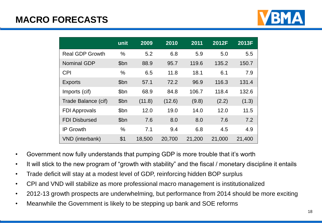

|                        | unit | 2009   | 2010   | 2011   | 2012F  | 2013F  |
|------------------------|------|--------|--------|--------|--------|--------|
| <b>Real GDP Growth</b> | $\%$ | 5.2    | 6.8    | 5.9    | 5.0    | 5.5    |
| <b>Nominal GDP</b>     | \$bn | 88.9   | 95.7   | 119.6  | 135.2  | 150.7  |
| <b>CPI</b>             | %    | 6.5    | 11.8   | 18.1   | 6.1    | 7.9    |
| <b>Exports</b>         | \$bn | 57.1   | 72.2   | 96.9   | 116.3  | 131.4  |
| Imports (cif)          | \$bn | 68.9   | 84.8   | 106.7  | 118.4  | 132.6  |
| Trade Balance (cif)    | \$bn | (11.8) | (12.6) | (9.8)  | (2.2)  | (1.3)  |
| <b>FDI Approvals</b>   | \$bn | 12.0   | 19.0   | 14.0   | 12.0   | 11.5   |
| <b>FDI Disbursed</b>   | \$bn | 7.6    | 8.0    | 8.0    | 7.6    | 7.2    |
| <b>IP Growth</b>       | %    | 7.1    | 9.4    | 6.8    | 4.5    | 4.9    |
| <b>VND</b> (interbank) | \$1  | 18,500 | 20,700 | 21,200 | 21,000 | 21,400 |

- Government now fully understands that pumping GDP is more trouble that it's worth
- It will stick to the new program of "growth with stability" and the fiscal / monetary discipline it entails
- Trade deficit will stay at a modest level of GDP, reinforcing hidden BOP surplus
- CPI and VND will stabilize as more professional macro management is institutionalized
- 2012-13 growth prospects are underwhelming, but performance from 2014 should be more exciting
- Meanwhile the Government is likely to be stepping up bank and SOE reforms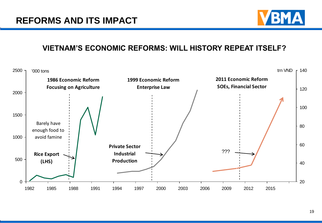

#### **VIETNAM'S ECONOMIC REFORMS: WILL HISTORY REPEAT ITSELF?**

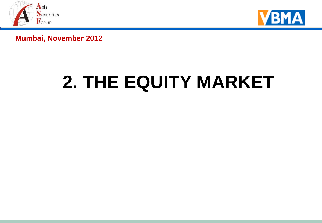



#### **Mumbai, November 2012**

# **2. THE EQUITY MARKET**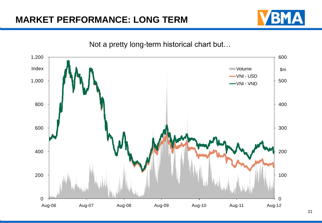### **MARKET PERFORMANCE: LONG TERM**



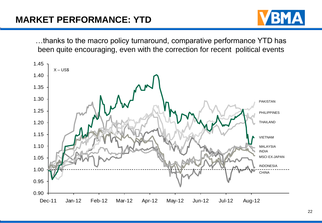

…thanks to the macro policy turnaround, comparative performance YTD has been quite encouraging, even with the correction for recent political events

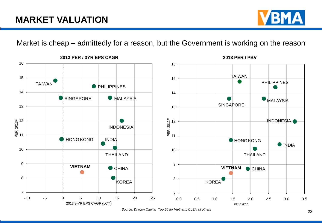

Market is cheap – admittedly for a reason, but the Government is working on the reason



*Source: Dragon Capital Top 50 for Vietnam; CLSA all others*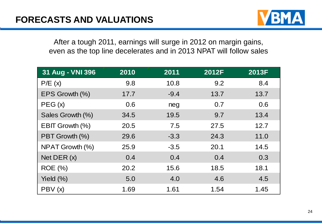

After a tough 2011, earnings will surge in 2012 on margin gains, even as the top line decelerates and in 2013 NPAT will follow sales

| <b>31 Aug - VNI 396</b> | 2010 | 2011   | <b>2012F</b> | 2013F |
|-------------------------|------|--------|--------------|-------|
| P/E(x)                  | 9.8  | 10.8   | 9.2          | 8.4   |
| EPS Growth (%)          | 17.7 | $-9.4$ | 13.7         | 13.7  |
| PEG(x)                  | 0.6  | neg    | 0.7          | 0.6   |
| Sales Growth (%)        | 34.5 | 19.5   | 9.7          | 13.4  |
| EBIT Growth (%)         | 20.5 | 7.5    | 27.5         | 12.7  |
| PBT Growth (%)          | 29.6 | $-3.3$ | 24.3         | 11.0  |
| NPAT Growth (%)         | 25.9 | $-3.5$ | 20.1         | 14.5  |
| Net $DER(x)$            | 0.4  | 0.4    | 0.4          | 0.3   |
| <b>ROE</b> (%)          | 20.2 | 15.6   | 18.5         | 18.1  |
| Yield $(\%)$            | 5.0  | 4.0    | 4.6          | 4.5   |
| PBV(x)                  | 1.69 | 1.61   | 1.54         | 1.45  |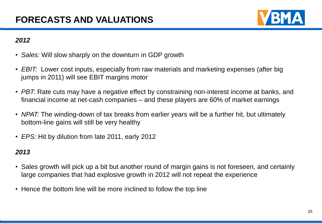

#### *2012*

- *Sales:* Will slow sharply on the downturn in GDP growth
- *EBIT:* Lower cost inputs, especially from raw materials and marketing expenses (after big jumps in 2011) will see EBIT margins motor
- *PBT:* Rate cuts may have a negative effect by constraining non-interest income at banks, and financial income at net-cash companies – and these players are 60% of market earnings
- *NPAT:* The winding-down of tax breaks from earlier years will be a further hit, but ultimately bottom-line gains will still be very healthy
- *EPS:* Hit by dilution from late 2011, early 2012

#### *2013*

- Sales growth will pick up a bit but another round of margin gains is not foreseen, and certainly large companies that had explosive growth in 2012 will not repeat the experience
- Hence the bottom line will be more inclined to follow the top line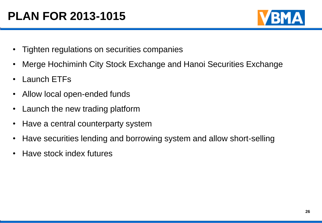## **PLAN FOR 2013-1015**



- Tighten regulations on securities companies
- Merge Hochiminh City Stock Exchange and Hanoi Securities Exchange
- Launch ETFs
- Allow local open-ended funds
- Launch the new trading platform
- Have a central counterparty system
- Have securities lending and borrowing system and allow short-selling
- Have stock index futures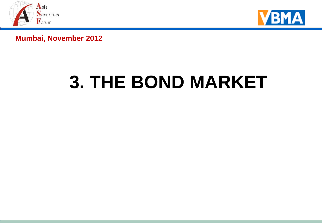



#### **Mumbai, November 2012**

# **3. THE BOND MARKET**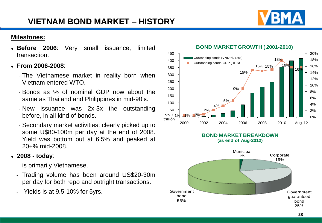#### **Milestones:**

- **Before 2006**: Very small issuance, limited transaction.
- **From 2006-2008**:
	- The Vietnamese market in reality born when Vietnam entered WTO.
	- Bonds as % of nominal GDP now about the same as Thailand and Philippines in mid-90's.
	- New issuance was 2x-3x the outstanding before, in all kind of bonds.
	- Secondary market activities: clearly picked up to some U\$80-100m per day at the end of 2008. Yield was bottom out at 6.5% and peaked at 20+% mid-2008.
- **2008 - today**:
	- is primarily Vietnamese.
	- Trading volume has been around US\$20-30m per day for both repo and outright transactions.
	- Yields is at 9.5-10% for 5yrs.



**BOND MARKET BREAKDOWN (as end of Aug-2012)**

#### **BOND MARKET GROWTH ( 2001-2010)**



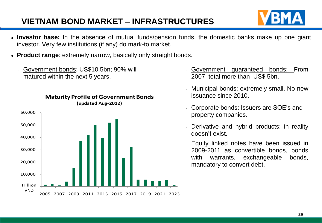### **VIETNAM BOND MARKET – INFRASTRUCTURES**

- **Investor base:** In the absence of mutual funds/pension funds, the domestic banks make up one giant investor. Very few institutions (if any) do mark-to market.
- **Product range**: extremely narrow, basically only straight bonds.
	- Government bonds: US\$10.5bn; 90% will matured within the next 5 years.



- Government guaranteed bonds: From 2007, total more than US\$ 5bn.
- Municipal bonds: extremely small. No new issuance since 2010.
- Corporate bonds: Issuers are SOE's and property companies.
- Derivative and hybrid products: in reality doesn't exist.

Equity linked notes have been issued in 2009-2011 as convertible bonds, bonds with warrants, exchangeable bonds, mandatory to convert debt.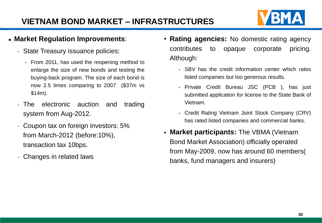

## **VIETNAM BOND MARKET – INFRASTRUCTURES**

#### ● **Market Regulation Improvements**:

- State Treasury issuance policies:
	- From 2011, has used the reopening method to enlarge the size of new bonds and testing the buying-back program. The size of each bond is now 2.5 times comparing to 2007 (\$37m vs \$14m).
- The electronic auction and trading system from Aug-2012.
- Coupon tax on foreign investors: 5% from March-2012 (before:10%), transaction tax 10bps.
- Changes in related laws
- **Rating agencies:** No domestic rating agency contributes to opaque corporate pricing. Although:
	- SBV has the credit information center which rates listed companies but too generous results.
	- Private Credit Bureau JSC (PCB ), has just submitted application for license to the State Bank of Vietnam.
	- Credit Rating Vietnam Joint Stock Company (CRV) has rated listed companies and commercial banks.
- **Market participants:** The VBMA (Vietnam Bond Market Association) officially operated from May-2009, now has around 60 members( banks, fund managers and insurers)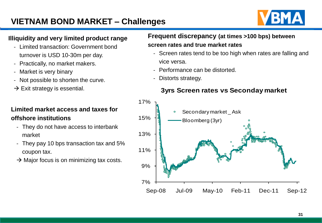### **VIETNAM BOND MARKET – Challenges**



#### **Illiquidity and very limited product range**

- Limited transaction: Government bond turnover is USD 10-30m per day.
- Practically, no market makers.
- Market is very binary
- Not possible to shorten the curve.
- $\rightarrow$  Exit strategy is essential.

#### **Limited market access and taxes for**

#### **offshore institutions**

- They do not have access to interbank market
- They pay 10 bps transaction tax and 5% coupon tax.
- $\rightarrow$  Major focus is on minimizing tax costs.

#### **Frequent discrepancy (at times >100 bps) between screen rates and true market rates**

- Screen rates tend to be too high when rates are falling and vice versa.
- Performance can be distorted.
- Distorts strategy.

#### **3yrs Screen rates vs Seconday market**

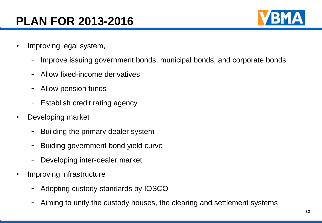## **PLAN FOR 2013-2016**



- Improving legal system,
	- Improve issuing government bonds, municipal bonds, and corporate bonds
	- Allow fixed-income derivatives
	- Allow pension funds
	- Establish credit rating agency
- Developing market
	- Building the primary dealer system
	- Buiding government bond yield curve
	- Developing inter-dealer market
- Improving infrastructure
	- Adopting custody standards by IOSCO
	- Aiming to unify the custody houses, the clearing and settlement systems